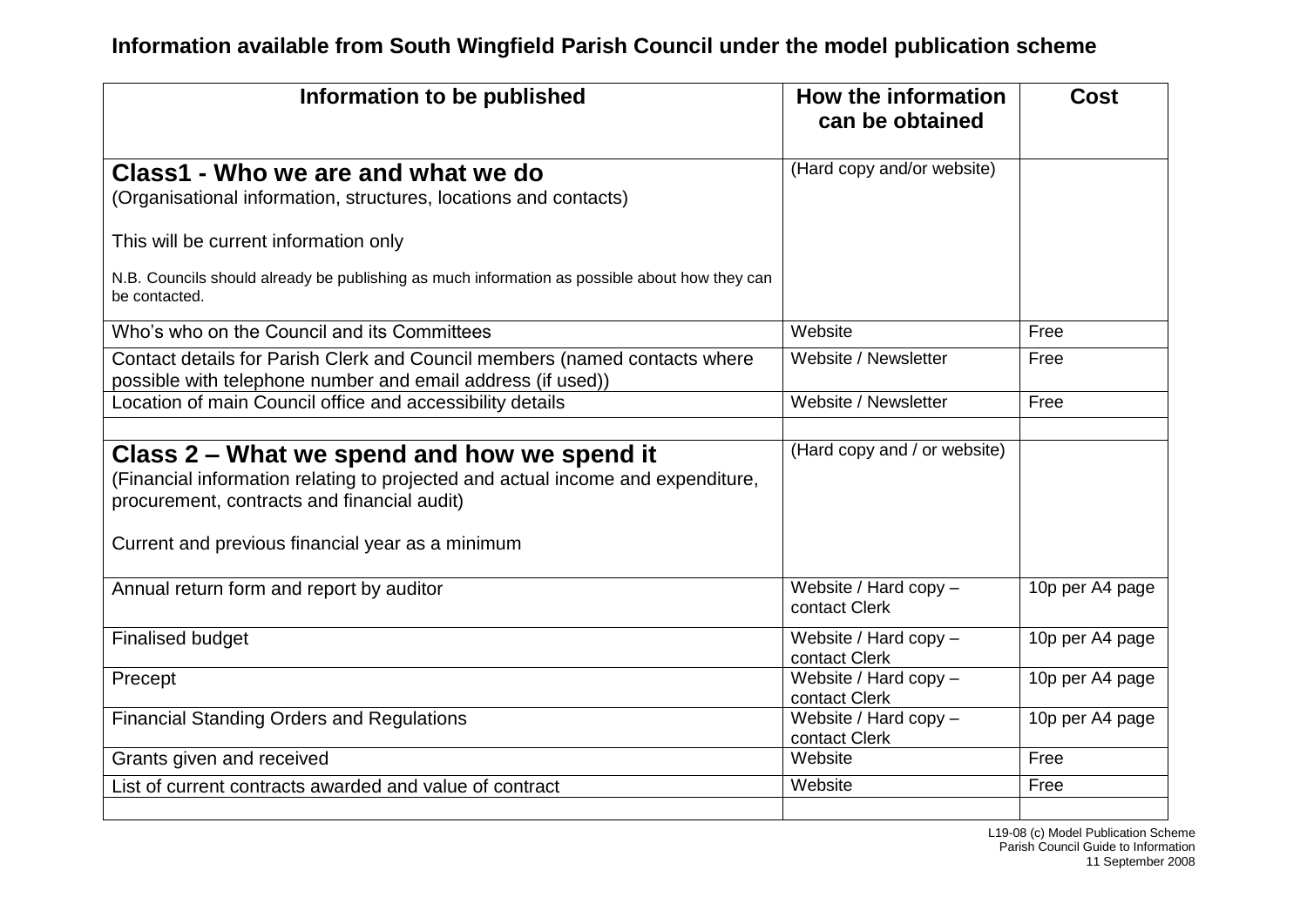| Information to be published                                                                                                                                                                                                       | How the information<br>can be obtained   | <b>Cost</b>     |
|-----------------------------------------------------------------------------------------------------------------------------------------------------------------------------------------------------------------------------------|------------------------------------------|-----------------|
| Class1 - Who we are and what we do                                                                                                                                                                                                | (Hard copy and/or website)               |                 |
| (Organisational information, structures, locations and contacts)                                                                                                                                                                  |                                          |                 |
| This will be current information only                                                                                                                                                                                             |                                          |                 |
| N.B. Councils should already be publishing as much information as possible about how they can<br>be contacted.                                                                                                                    |                                          |                 |
| Who's who on the Council and its Committees                                                                                                                                                                                       | Website                                  | Free            |
| Contact details for Parish Clerk and Council members (named contacts where<br>possible with telephone number and email address (if used))                                                                                         | Website / Newsletter                     | Free            |
| Location of main Council office and accessibility details                                                                                                                                                                         | Website / Newsletter                     | Free            |
|                                                                                                                                                                                                                                   |                                          |                 |
| Class 2 – What we spend and how we spend it<br>(Financial information relating to projected and actual income and expenditure,<br>procurement, contracts and financial audit)<br>Current and previous financial year as a minimum | (Hard copy and / or website)             |                 |
| Annual return form and report by auditor                                                                                                                                                                                          | Website / Hard copy -<br>contact Clerk   | 10p per A4 page |
| <b>Finalised budget</b>                                                                                                                                                                                                           | Website / Hard copy -<br>contact Clerk   | 10p per A4 page |
| Precept                                                                                                                                                                                                                           | Website / Hard copy $-$<br>contact Clerk | 10p per A4 page |
| <b>Financial Standing Orders and Regulations</b>                                                                                                                                                                                  | Website / Hard copy -<br>contact Clerk   | 10p per A4 page |
| Grants given and received                                                                                                                                                                                                         | Website                                  | Free            |
| List of current contracts awarded and value of contract                                                                                                                                                                           | Website                                  | Free            |
|                                                                                                                                                                                                                                   |                                          |                 |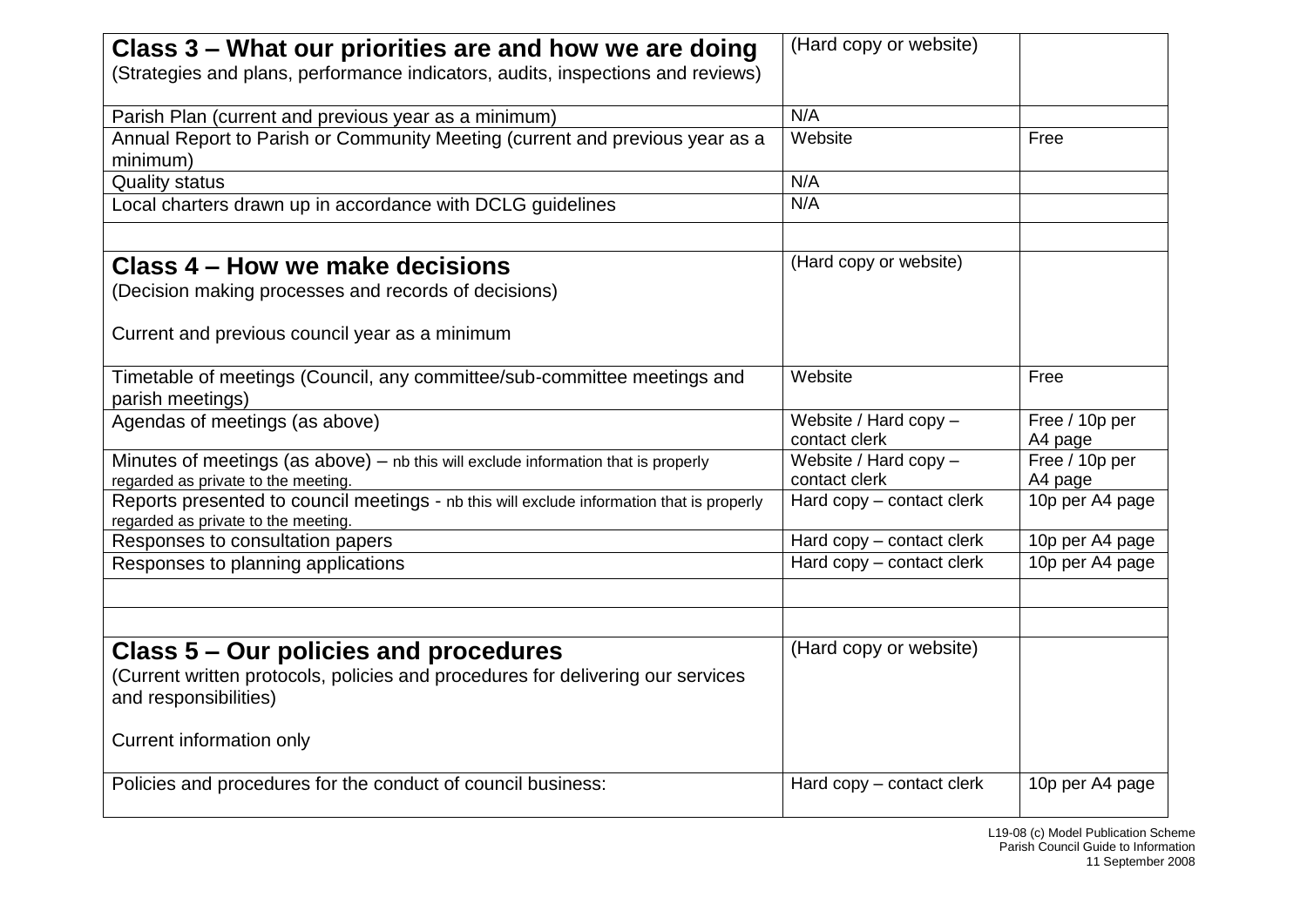| Class 3 – What our priorities are and how we are doing                                                                           | (Hard copy or website)                 |                           |
|----------------------------------------------------------------------------------------------------------------------------------|----------------------------------------|---------------------------|
|                                                                                                                                  |                                        |                           |
| (Strategies and plans, performance indicators, audits, inspections and reviews)                                                  |                                        |                           |
| Parish Plan (current and previous year as a minimum)                                                                             | N/A                                    |                           |
| Annual Report to Parish or Community Meeting (current and previous year as a                                                     | Website                                | Free                      |
| minimum)                                                                                                                         |                                        |                           |
| <b>Quality status</b>                                                                                                            | N/A                                    |                           |
| Local charters drawn up in accordance with DCLG quidelines                                                                       | N/A                                    |                           |
| Class 4 – How we make decisions                                                                                                  | (Hard copy or website)                 |                           |
| (Decision making processes and records of decisions)                                                                             |                                        |                           |
| Current and previous council year as a minimum                                                                                   |                                        |                           |
| Timetable of meetings (Council, any committee/sub-committee meetings and<br>parish meetings)                                     | Website                                | Free                      |
| Agendas of meetings (as above)                                                                                                   | Website / Hard copy -<br>contact clerk | Free / 10p per<br>A4 page |
| Minutes of meetings (as above) - nb this will exclude information that is properly<br>regarded as private to the meeting.        | Website / Hard copy -<br>contact clerk | Free / 10p per<br>A4 page |
| Reports presented to council meetings - nb this will exclude information that is properly<br>regarded as private to the meeting. | Hard copy - contact clerk              | 10p per A4 page           |
| Responses to consultation papers                                                                                                 | Hard copy - contact clerk              | 10p per A4 page           |
| Responses to planning applications                                                                                               | Hard copy - contact clerk              | 10p per A4 page           |
|                                                                                                                                  |                                        |                           |
| Class 5 – Our policies and procedures                                                                                            | (Hard copy or website)                 |                           |
| (Current written protocols, policies and procedures for delivering our services                                                  |                                        |                           |
| and responsibilities)                                                                                                            |                                        |                           |
| Current information only                                                                                                         |                                        |                           |
| Policies and procedures for the conduct of council business:                                                                     | Hard copy - contact clerk              | 10p per A4 page           |
|                                                                                                                                  |                                        |                           |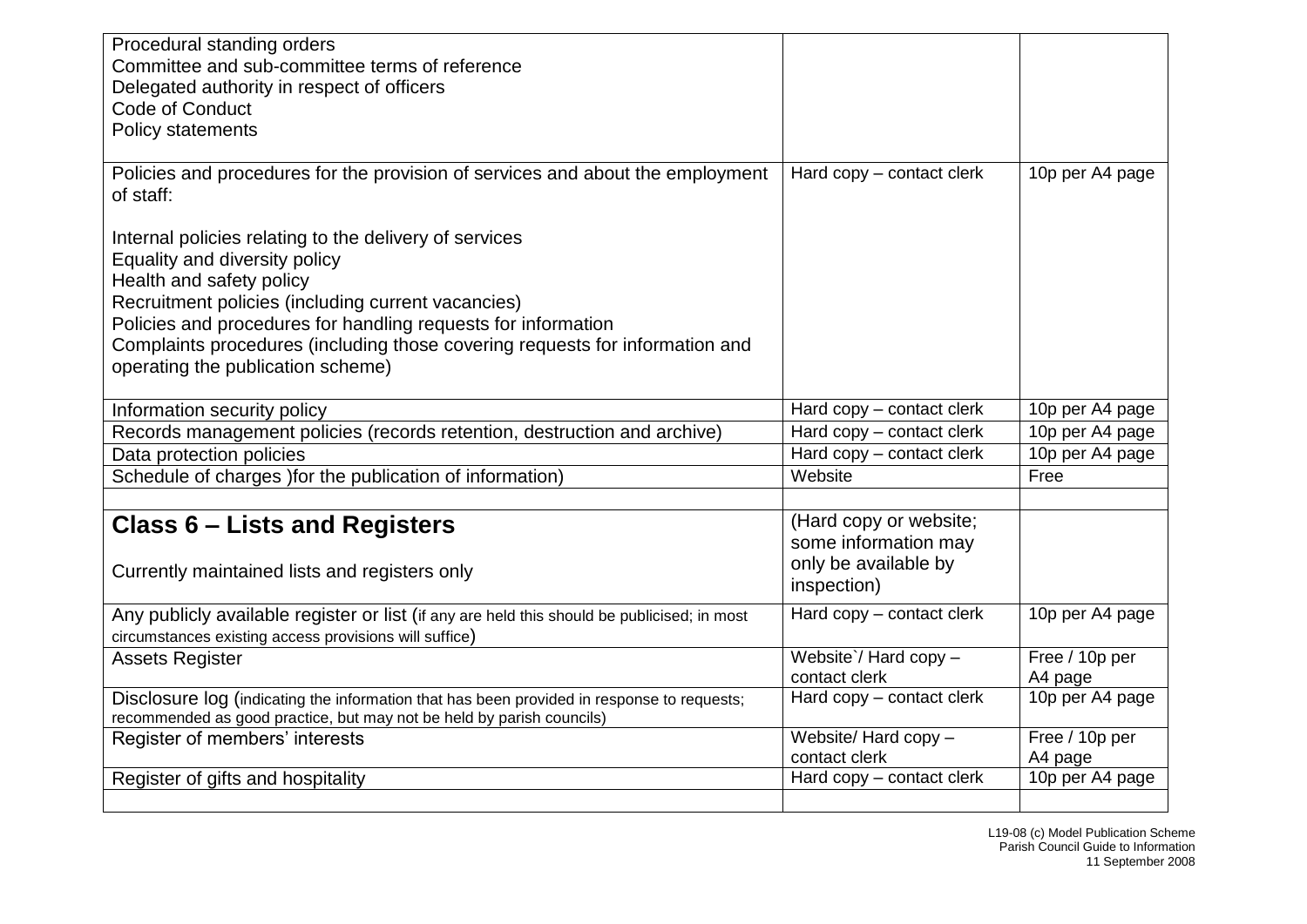| Procedural standing orders                                                                  |                           |                 |
|---------------------------------------------------------------------------------------------|---------------------------|-----------------|
| Committee and sub-committee terms of reference                                              |                           |                 |
| Delegated authority in respect of officers                                                  |                           |                 |
| Code of Conduct                                                                             |                           |                 |
| Policy statements                                                                           |                           |                 |
|                                                                                             |                           |                 |
| Policies and procedures for the provision of services and about the employment              | Hard copy - contact clerk | 10p per A4 page |
| of staff:                                                                                   |                           |                 |
|                                                                                             |                           |                 |
| Internal policies relating to the delivery of services                                      |                           |                 |
| Equality and diversity policy                                                               |                           |                 |
| Health and safety policy                                                                    |                           |                 |
| Recruitment policies (including current vacancies)                                          |                           |                 |
| Policies and procedures for handling requests for information                               |                           |                 |
| Complaints procedures (including those covering requests for information and                |                           |                 |
| operating the publication scheme)                                                           |                           |                 |
|                                                                                             |                           |                 |
| Information security policy                                                                 | Hard copy – contact clerk | 10p per A4 page |
| Records management policies (records retention, destruction and archive)                    | Hard copy - contact clerk | 10p per A4 page |
| Data protection policies                                                                    | Hard copy - contact clerk | 10p per A4 page |
| Schedule of charges ) for the publication of information)                                   | Website                   | Free            |
|                                                                                             |                           |                 |
| <b>Class 6 – Lists and Registers</b>                                                        | (Hard copy or website;    |                 |
|                                                                                             | some information may      |                 |
| Currently maintained lists and registers only                                               | only be available by      |                 |
|                                                                                             | inspection)               |                 |
| Any publicly available register or list (if any are held this should be publicised; in most | Hard copy - contact clerk | 10p per A4 page |
| circumstances existing access provisions will suffice)                                      |                           |                 |
| <b>Assets Register</b>                                                                      | Website'/ Hard copy $-$   | Free / 10p per  |
|                                                                                             | contact clerk             | A4 page         |
| Disclosure log (indicating the information that has been provided in response to requests;  | Hard copy – contact clerk | 10p per A4 page |
| recommended as good practice, but may not be held by parish councils)                       |                           |                 |
| Register of members' interests                                                              | Website/Hard copy-        | Free / 10p per  |
|                                                                                             | contact clerk             | A4 page         |
| Register of gifts and hospitality                                                           | Hard copy - contact clerk | 10p per A4 page |
|                                                                                             |                           |                 |